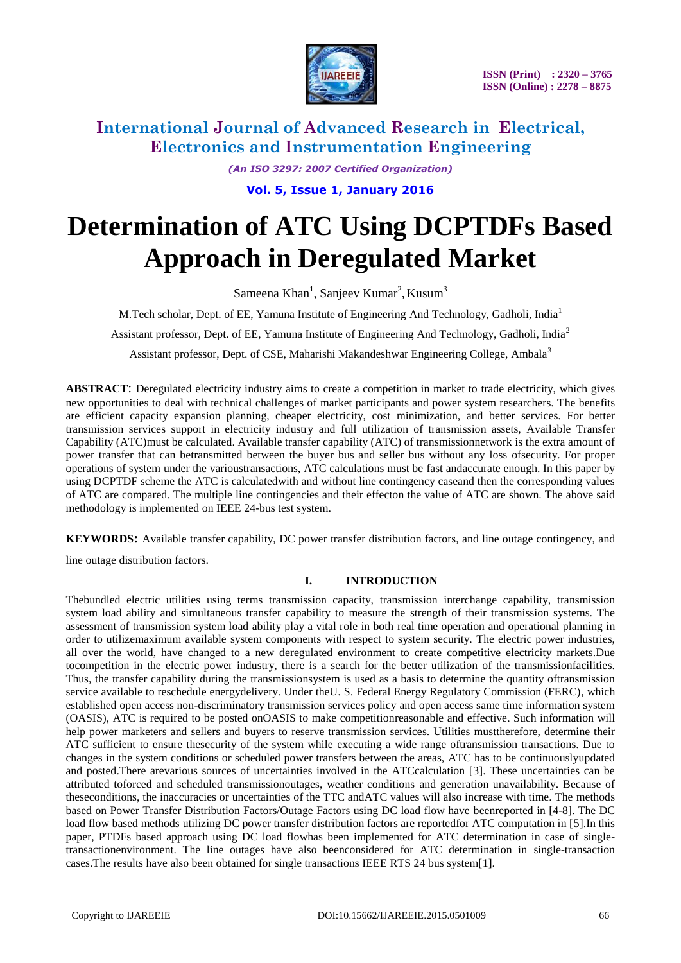

*(An ISO 3297: 2007 Certified Organization)*

**Vol. 5, Issue 1, January 2016**

# **Determination of ATC Using DCPTDFs Based Approach in Deregulated Market**

Sameena Khan<sup>1</sup>, Sanjeev Kumar<sup>2</sup>, Kusum<sup>3</sup>

M.Tech scholar, Dept. of EE, Yamuna Institute of Engineering And Technology, Gadholi, India<sup>1</sup>

Assistant professor, Dept. of EE, Yamuna Institute of Engineering And Technology, Gadholi, India<sup>2</sup>

Assistant professor, Dept. of CSE, Maharishi Makandeshwar Engineering College, Ambala<sup>3</sup>

**ABSTRACT**: Deregulated electricity industry aims to create a competition in market to trade electricity, which gives new opportunities to deal with technical challenges of market participants and power system researchers. The benefits are efficient capacity expansion planning, cheaper electricity, cost minimization, and better services. For better transmission services support in electricity industry and full utilization of transmission assets, Available Transfer Capability (ATC)must be calculated. Available transfer capability (ATC) of transmissionnetwork is the extra amount of power transfer that can betransmitted between the buyer bus and seller bus without any loss ofsecurity. For proper operations of system under the varioustransactions, ATC calculations must be fast andaccurate enough. In this paper by using DCPTDF scheme the ATC is calculatedwith and without line contingency caseand then the corresponding values of ATC are compared. The multiple line contingencies and their effecton the value of ATC are shown. The above said methodology is implemented on IEEE 24-bus test system.

**KEYWORDS:** Available transfer capability, DC power transfer distribution factors, and line outage contingency, and

line outage distribution factors.

### **I. INTRODUCTION**

Thebundled electric utilities using terms transmission capacity, transmission interchange capability, transmission system load ability and simultaneous transfer capability to measure the strength of their transmission systems. The assessment of transmission system load ability play a vital role in both real time operation and operational planning in order to utilizemaximum available system components with respect to system security. The electric power industries, all over the world, have changed to a new deregulated environment to create competitive electricity markets.Due tocompetition in the electric power industry, there is a search for the better utilization of the transmissionfacilities. Thus, the transfer capability during the transmissionsystem is used as a basis to determine the quantity oftransmission service available to reschedule energydelivery. Under theU. S. Federal Energy Regulatory Commission (FERC), which established open access non-discriminatory transmission services policy and open access same time information system (OASIS), ATC is required to be posted onOASIS to make competitionreasonable and effective. Such information will help power marketers and sellers and buyers to reserve transmission services. Utilities musttherefore, determine their ATC sufficient to ensure thesecurity of the system while executing a wide range oftransmission transactions. Due to changes in the system conditions or scheduled power transfers between the areas, ATC has to be continuouslyupdated and posted.There arevarious sources of uncertainties involved in the ATCcalculation [3]. These uncertainties can be attributed toforced and scheduled transmissionoutages, weather conditions and generation unavailability. Because of theseconditions, the inaccuracies or uncertainties of the TTC andATC values will also increase with time. The methods based on Power Transfer Distribution Factors/Outage Factors using DC load flow have beenreported in [4-8]. The DC load flow based methods utilizing DC power transfer distribution factors are reportedfor ATC computation in [5].In this paper, PTDFs based approach using DC load flowhas been implemented for ATC determination in case of singletransactionenvironment. The line outages have also beenconsidered for ATC determination in single-transaction cases.The results have also been obtained for single transactions IEEE RTS 24 bus system[1].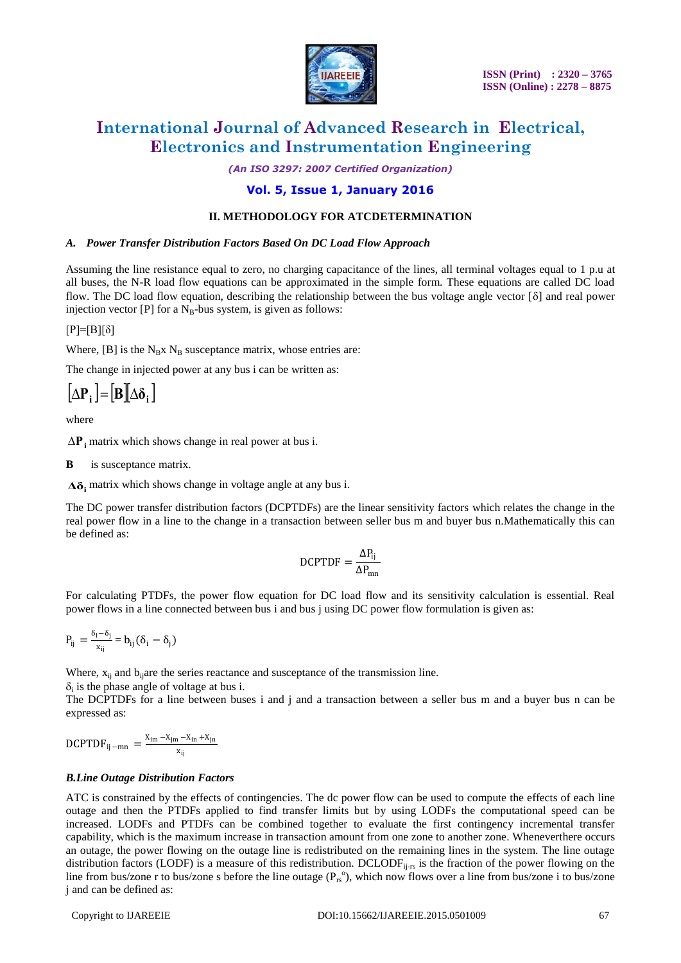

*(An ISO 3297: 2007 Certified Organization)*

### **Vol. 5, Issue 1, January 2016**

#### **II. METHODOLOGY FOR ATCDETERMINATION**

#### *A. Power Transfer Distribution Factors Based On DC Load Flow Approach*

Assuming the line resistance equal to zero, no charging capacitance of the lines, all terminal voltages equal to 1 p.u at all buses, the N-R load flow equations can be approximated in the simple form. These equations are called DC load flow. The DC load flow equation, describing the relationship between the bus voltage angle vector  $[\delta]$  and real power injection vector  $[P]$  for a N<sub>B</sub>-bus system, is given as follows:

#### $[P]=[B][\delta]$

Where,  $[B]$  is the N<sub>B</sub>x N<sub>B</sub> susceptance matrix, whose entries are:

The change in injected power at any bus i can be written as:

 $\left[\Delta P_i\right] = \left[\mathbf{B}\right]\left[\Delta \delta_i\right]$ 

where

**Ρ<sup>i</sup>** matrix which shows change in real power at bus i.

**B** is susceptance matrix.

**Δδ<sup>i</sup>** matrix which shows change in voltage angle at any bus i.

The DC power transfer distribution factors (DCPTDFs) are the linear sensitivity factors which relates the change in the real power flow in a line to the change in a transaction between seller bus m and buyer bus n.Mathematically this can be defined as:

$$
DCPTDF=\frac{\Delta P_{ij}}{\Delta P_{mn}}
$$

For calculating PTDFs, the power flow equation for DC load flow and its sensitivity calculation is essential. Real power flows in a line connected between bus i and bus j using DC power flow formulation is given as:

$$
P_{ij} = \frac{\delta_i - \delta_j}{x_{ij}} = b_{ij} (\delta_i - \delta_j)
$$

Where,  $x_{ii}$  and  $b_{ii}$  are the series reactance and susceptance of the transmission line.

 $\delta_i$  is the phase angle of voltage at bus i.

The DCPTDFs for a line between buses i and j and a transaction between a seller bus m and a buyer bus n can be expressed as:

$$
DCPTDF_{ij-mn} = \frac{x_{im} - x_{jm} - x_{in} + x_{jn}}{x_{ij}}
$$

#### *B.Line Outage Distribution Factors*

ATC is constrained by the effects of contingencies. The dc power flow can be used to compute the effects of each line outage and then the PTDFs applied to find transfer limits but by using LODFs the computational speed can be increased. LODFs and PTDFs can be combined together to evaluate the first contingency incremental transfer capability, which is the maximum increase in transaction amount from one zone to another zone. Wheneverthere occurs an outage, the power flowing on the outage line is redistributed on the remaining lines in the system. The line outage distribution factors (LODF) is a measure of this redistribution. DCLODF<sub>ij-rs</sub> is the fraction of the power flowing on the line from bus/zone r to bus/zone s before the line outage  $(P_{rs}^{\circ})$ , which now flows over a line from bus/zone i to bus/zone j and can be defined as: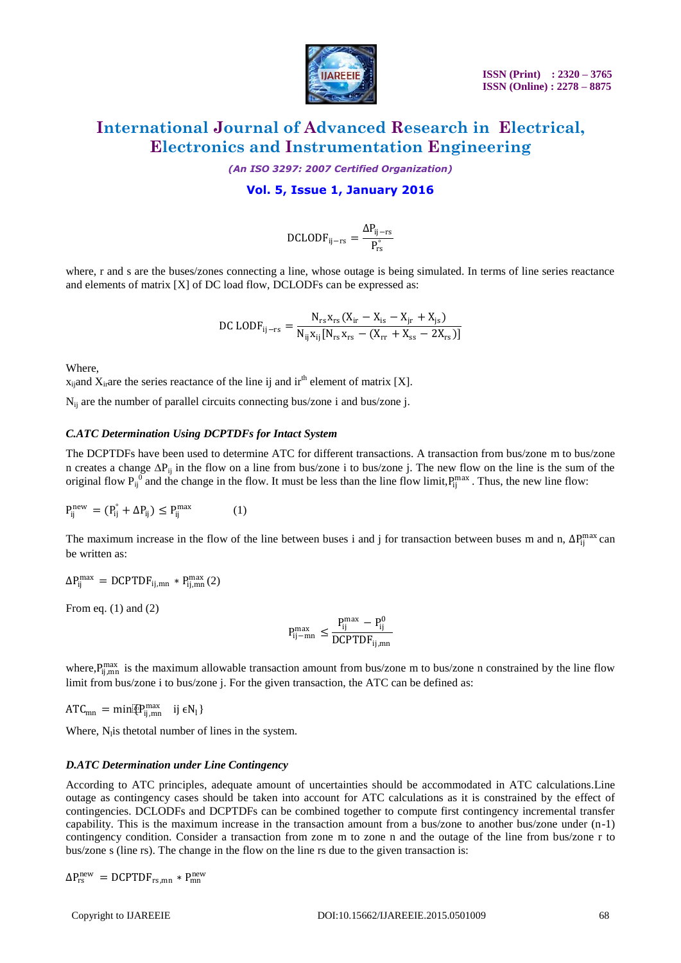

*(An ISO 3297: 2007 Certified Organization)*

#### **Vol. 5, Issue 1, January 2016**

$$
D CLODF_{ij-rs} = \frac{\Delta P_{ij-rs}}{P_{rs}^\circ}
$$

where, r and s are the buses/zones connecting a line, whose outage is being simulated. In terms of line series reactance and elements of matrix [X] of DC load flow, DCLODFs can be expressed as:

$$
\text{DC\,LODF}_{ij-rs} = \frac{N_{rs}\,x_{rs}\,(X_{ir} - X_{is} - X_{jr} + X_{js})}{N_{ij}\,x_{ij}\,[N_{rs}\,x_{rs} - (X_{rr} + X_{ss} - 2X_{rs})]}
$$

Where,

 $x_{ii}$  and  $X_{ii}$  are the series reactance of the line ij and ir<sup>th</sup> element of matrix [X].

Nij are the number of parallel circuits connecting bus/zone i and bus/zone j.

#### *C.ATC Determination Using DCPTDFs for Intact System*

The DCPTDFs have been used to determine ATC for different transactions. A transaction from bus/zone m to bus/zone n creates a change  $\Delta P_{ij}$  in the flow on a line from bus/zone i to bus/zone j. The new flow on the line is the sum of the original flow  $P_{ij}^{0}$  and the change in the flow. It must be less than the line flow limit,  $P_{ij}^{max}$ . Thus, the new line flow:

$$
P_{ij}^{new} = (P_{ij}^{\circ} + \Delta P_{ij}) \le P_{ij}^{max} \tag{1}
$$

The maximum increase in the flow of the line between buses i and j for transaction between buses m and n,  $\Delta P_{ij}^{max}$  can be written as:

$$
\Delta P_{ij}^{max} = DCPTDF_{ij,mn} * P_{ij,mn}^{max}(2)
$$

From eq.  $(1)$  and  $(2)$ 

$$
P_{ij-mn}^{max} \le \frac{P_{ij}^{max} - P_{ij}^0}{DCPTDF_{ij,mn}}
$$

where,  $P_{ij,mn}^{max}$  is the maximum allowable transaction amount from bus/zone m to bus/zone n constrained by the line flow limit from bus/zone i to bus/zone j. For the given transaction, the ATC can be defined as:

 $\text{ATC}_{\text{mn}} = \min[\mathbb{P}_{\text{ij},\text{mn}}^{\text{max}} \quad \text{ij } \in \mathbb{N}_1\}$ 

Where,  $N<sub>l</sub>$  is thetotal number of lines in the system.

#### *D.ATC Determination under Line Contingency*

According to ATC principles, adequate amount of uncertainties should be accommodated in ATC calculations.Line outage as contingency cases should be taken into account for ATC calculations as it is constrained by the effect of contingencies. DCLODFs and DCPTDFs can be combined together to compute first contingency incremental transfer capability. This is the maximum increase in the transaction amount from a bus/zone to another bus/zone under (n-1) contingency condition. Consider a transaction from zone m to zone n and the outage of the line from bus/zone r to bus/zone s (line rs). The change in the flow on the line rs due to the given transaction is:

$$
\Delta P_{rs}^{new} = DCPTDF_{rs,mn} * P_{mn}^{new}
$$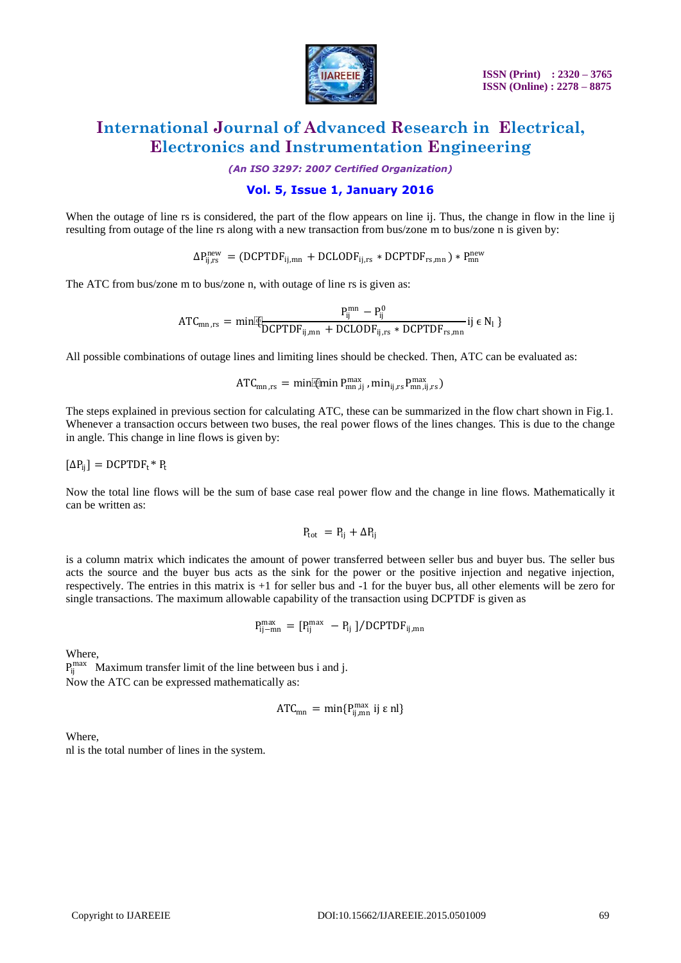

*(An ISO 3297: 2007 Certified Organization)*

#### **Vol. 5, Issue 1, January 2016**

When the outage of line rs is considered, the part of the flow appears on line ij. Thus, the change in flow in the line ij resulting from outage of the line rs along with a new transaction from bus/zone m to bus/zone n is given by:

 $\Delta P_{ij,rs}^{new} = (DCPTDF_{ij,mn} + DCLODF_{ij,rs} * DCPTDF_{rs,mn}) * P_{mn}^{new}$ 

The ATC from bus/zone m to bus/zone n, with outage of line rs is given as:

$$
AT{C_{mn,rs}} = min[\underbrace{P_{ij}^{mm} - P_{ij}^0}_{DCPTDF_{ij,mn} + DCLODF_{ij,rs} * DCPTDF_{rs,mn}} i j \in N_1
$$

All possible combinations of outage lines and limiting lines should be checked. Then, ATC can be evaluated as:

$$
ATC_{mn,rs} = \text{min} \mathbb{P}_{mn,ij}^{max}, \text{min}_{ij,rs} P_{mn,ij,rs}^{max})
$$

The steps explained in previous section for calculating ATC, these can be summarized in the flow chart shown in Fig.1. Whenever a transaction occurs between two buses, the real power flows of the lines changes. This is due to the change in angle. This change in line flows is given by:

 $[\Delta P_{ii}] = DCPTDF_t * P_t$ 

Now the total line flows will be the sum of base case real power flow and the change in line flows. Mathematically it can be written as:

$$
P_{tot} = P_{ij} + \Delta P_{ij}
$$

is a column matrix which indicates the amount of power transferred between seller bus and buyer bus. The seller bus acts the source and the buyer bus acts as the sink for the power or the positive injection and negative injection, respectively. The entries in this matrix is +1 for seller bus and -1 for the buyer bus, all other elements will be zero for single transactions. The maximum allowable capability of the transaction using DCPTDF is given as

$$
P_{ij-mn}^{max} = [P_{ij}^{max} - P_{ij}] / DCPTDF_{ij,mn}
$$

Where,

 $P_{ij}^{max}$  Maximum transfer limit of the line between bus i and j. Now the ATC can be expressed mathematically as:

$$
ATC_{mn} = min\{P_{ij,mn}^{max} \text{ ij } \epsilon \text{ nl}\}
$$

Where, nl is the total number of lines in the system.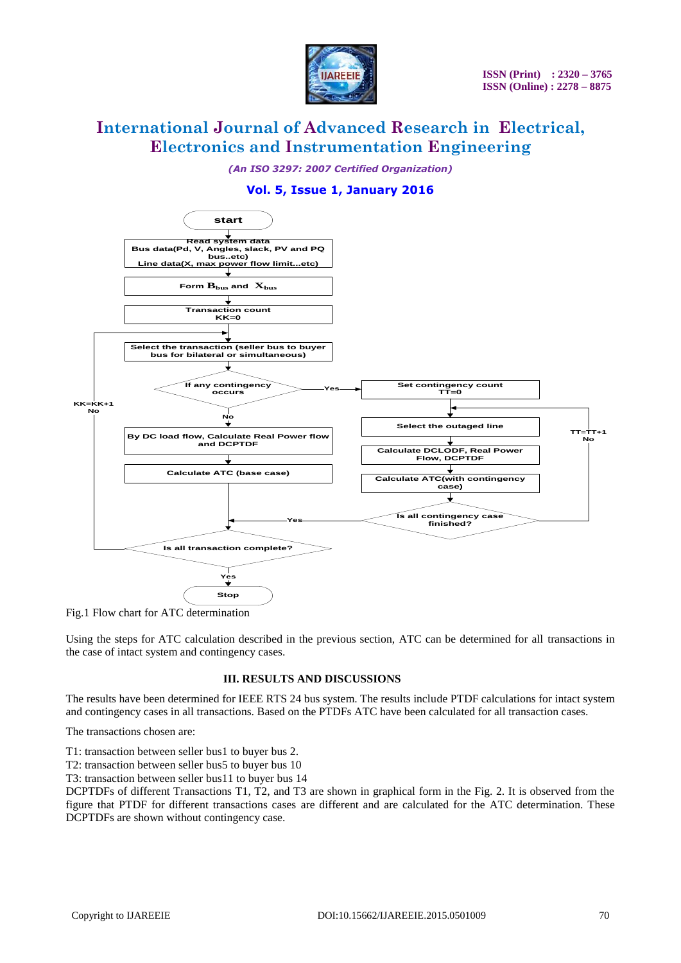

*(An ISO 3297: 2007 Certified Organization)*

### **Vol. 5, Issue 1, January 2016**



Fig.1 Flow chart for ATC determination

Using the steps for ATC calculation described in the previous section, ATC can be determined for all transactions in the case of intact system and contingency cases.

#### **III. RESULTS AND DISCUSSIONS**

The results have been determined for IEEE RTS 24 bus system. The results include PTDF calculations for intact system and contingency cases in all transactions. Based on the PTDFs ATC have been calculated for all transaction cases.

The transactions chosen are:

T1: transaction between seller bus1 to buyer bus 2.

T2: transaction between seller bus5 to buyer bus 10

T3: transaction between seller bus11 to buyer bus 14

DCPTDFs of different Transactions T1, T2, and T3 are shown in graphical form in the Fig. 2. It is observed from the figure that PTDF for different transactions cases are different and are calculated for the ATC determination. These DCPTDFs are shown without contingency case.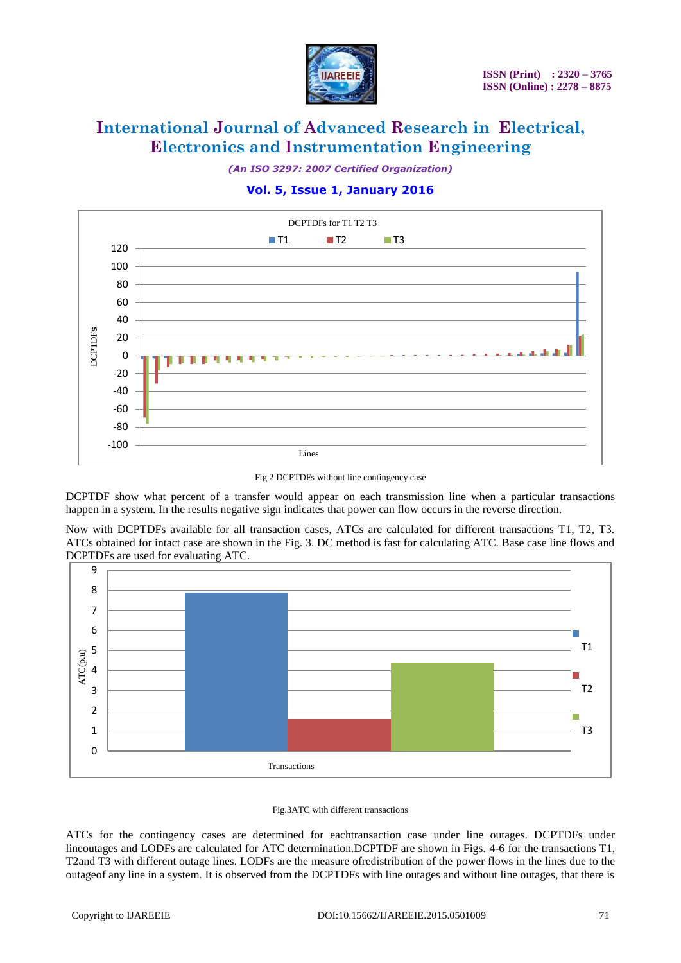

*(An ISO 3297: 2007 Certified Organization)*

### **Vol. 5, Issue 1, January 2016**



Fig 2 DCPTDFs without line contingency case

DCPTDF show what percent of a transfer would appear on each transmission line when a particular transactions happen in a system. In the results negative sign indicates that power can flow occurs in the reverse direction.

Now with DCPTDFs available for all transaction cases, ATCs are calculated for different transactions T1, T2, T3. ATCs obtained for intact case are shown in the Fig. 3. DC method is fast for calculating ATC. Base case line flows and DCPTDFs are used for evaluating ATC.



#### Fig.3ATC with different transactions

ATCs for the contingency cases are determined for eachtransaction case under line outages. DCPTDFs under lineoutages and LODFs are calculated for ATC determination.DCPTDF are shown in Figs. 4-6 for the transactions T1, T2and T3 with different outage lines. LODFs are the measure ofredistribution of the power flows in the lines due to the outageof any line in a system. It is observed from the DCPTDFs with line outages and without line outages, that there is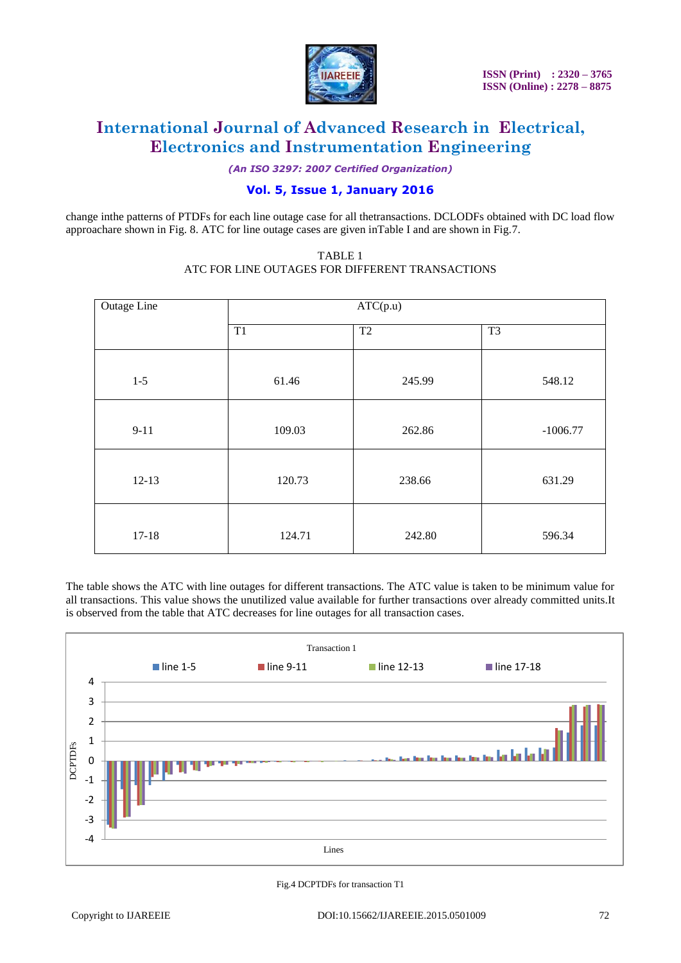

*(An ISO 3297: 2007 Certified Organization)*

### **Vol. 5, Issue 1, January 2016**

change inthe patterns of PTDFs for each line outage case for all thetransactions. DCLODFs obtained with DC load flow approachare shown in Fig. 8. ATC for line outage cases are given inTable I and are shown in Fig.7.

| Outage Line | ATC(p.u) |        |                |
|-------------|----------|--------|----------------|
|             | T1       | T2     | T <sub>3</sub> |
| $1 - 5$     | 61.46    | 245.99 | 548.12         |
| $9-11$      | 109.03   | 262.86 | $-1006.77$     |
| $12-13$     | 120.73   | 238.66 | 631.29         |
| $17 - 18$   | 124.71   | 242.80 | 596.34         |

#### TABLE 1 ATC FOR LINE OUTAGES FOR DIFFERENT TRANSACTIONS

The table shows the ATC with line outages for different transactions. The ATC value is taken to be minimum value for all transactions. This value shows the unutilized value available for further transactions over already committed units.It is observed from the table that ATC decreases for line outages for all transaction cases.



Fig.4 DCPTDFs for transaction T1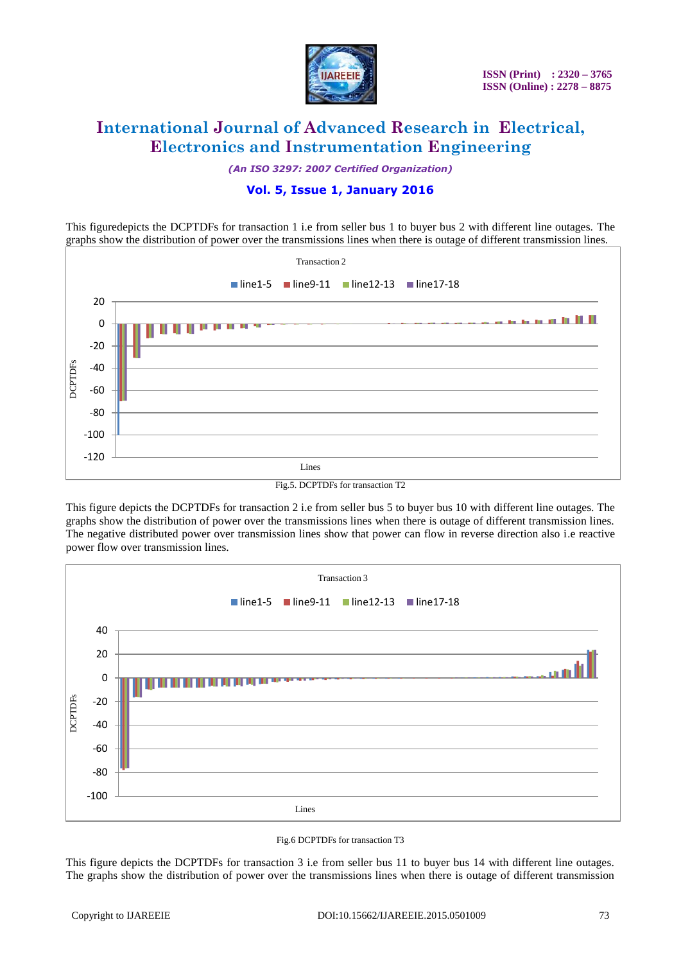

*(An ISO 3297: 2007 Certified Organization)*

### **Vol. 5, Issue 1, January 2016**

This figuredepicts the DCPTDFs for transaction 1 i.e from seller bus 1 to buyer bus 2 with different line outages. The graphs show the distribution of power over the transmissions lines when there is outage of different transmission lines.



Fig.5. DCPTDFs for transaction T2

This figure depicts the DCPTDFs for transaction 2 i.e from seller bus 5 to buyer bus 10 with different line outages. The graphs show the distribution of power over the transmissions lines when there is outage of different transmission lines. The negative distributed power over transmission lines show that power can flow in reverse direction also i.e reactive power flow over transmission lines.





This figure depicts the DCPTDFs for transaction 3 i.e from seller bus 11 to buyer bus 14 with different line outages. The graphs show the distribution of power over the transmissions lines when there is outage of different transmission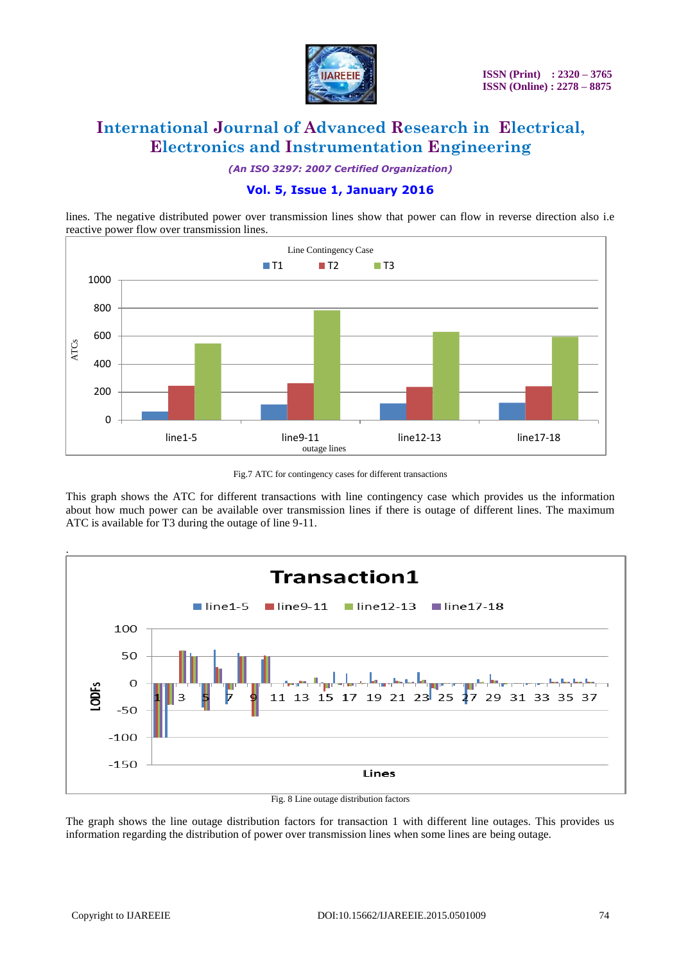

*(An ISO 3297: 2007 Certified Organization)*

### **Vol. 5, Issue 1, January 2016**

lines. The negative distributed power over transmission lines show that power can flow in reverse direction also i.e reactive power flow over transmission lines.



Fig.7 ATC for contingency cases for different transactions

This graph shows the ATC for different transactions with line contingency case which provides us the information about how much power can be available over transmission lines if there is outage of different lines. The maximum ATC is available for T3 during the outage of line 9-11.



The graph shows the line outage distribution factors for transaction 1 with different line outages. This provides us information regarding the distribution of power over transmission lines when some lines are being outage.